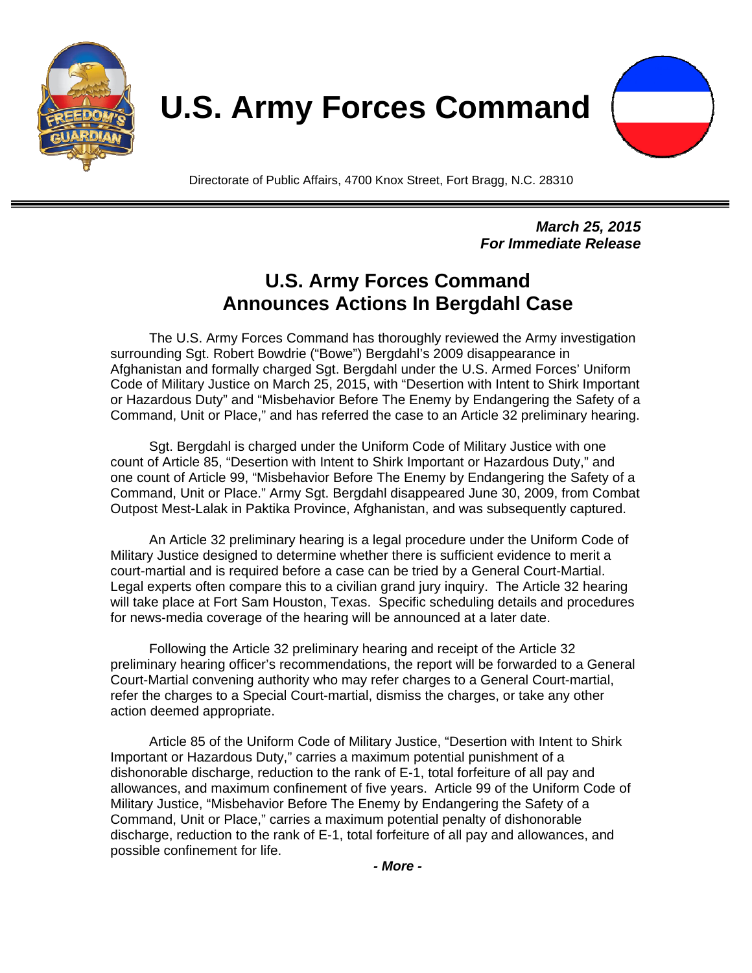

## **U.S. Army Forces Command**



Directorate of Public Affairs, 4700 Knox Street, Fort Bragg, N.C. 28310

*March 25, 2015 For Immediate Release* 

## **U.S. Army Forces Command Announces Actions In Bergdahl Case**

The U.S. Army Forces Command has thoroughly reviewed the Army investigation surrounding Sgt. Robert Bowdrie ("Bowe") Bergdahl's 2009 disappearance in Afghanistan and formally charged Sgt. Bergdahl under the U.S. Armed Forces' Uniform Code of Military Justice on March 25, 2015, with "Desertion with Intent to Shirk Important or Hazardous Duty" and "Misbehavior Before The Enemy by Endangering the Safety of a Command, Unit or Place," and has referred the case to an Article 32 preliminary hearing.

Sgt. Bergdahl is charged under the Uniform Code of Military Justice with one count of Article 85, "Desertion with Intent to Shirk Important or Hazardous Duty," and one count of Article 99, "Misbehavior Before The Enemy by Endangering the Safety of a Command, Unit or Place." Army Sgt. Bergdahl disappeared June 30, 2009, from Combat Outpost Mest-Lalak in Paktika Province, Afghanistan, and was subsequently captured.

An Article 32 preliminary hearing is a legal procedure under the Uniform Code of Military Justice designed to determine whether there is sufficient evidence to merit a court-martial and is required before a case can be tried by a General Court-Martial. Legal experts often compare this to a civilian grand jury inquiry. The Article 32 hearing will take place at Fort Sam Houston, Texas. Specific scheduling details and procedures for news-media coverage of the hearing will be announced at a later date.

Following the Article 32 preliminary hearing and receipt of the Article 32 preliminary hearing officer's recommendations, the report will be forwarded to a General Court-Martial convening authority who may refer charges to a General Court-martial, refer the charges to a Special Court-martial, dismiss the charges, or take any other action deemed appropriate.

Article 85 of the Uniform Code of Military Justice, "Desertion with Intent to Shirk Important or Hazardous Duty," carries a maximum potential punishment of a dishonorable discharge, reduction to the rank of E-1, total forfeiture of all pay and allowances, and maximum confinement of five years. Article 99 of the Uniform Code of Military Justice, "Misbehavior Before The Enemy by Endangering the Safety of a Command, Unit or Place," carries a maximum potential penalty of dishonorable discharge, reduction to the rank of E-1, total forfeiture of all pay and allowances, and possible confinement for life.

*- More -*